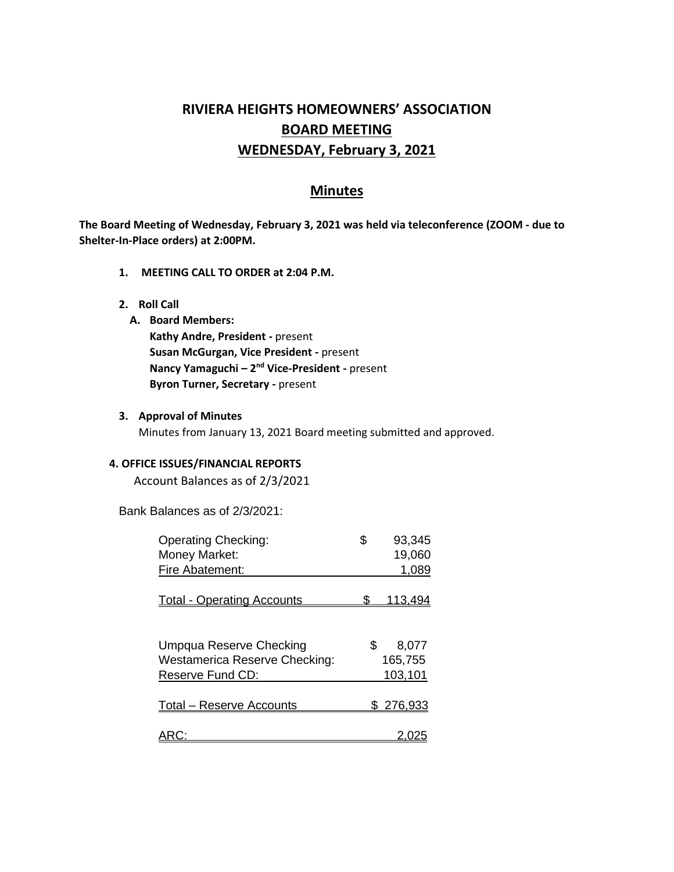# **RIVIERA HEIGHTS HOMEOWNERS' ASSOCIATION BOARD MEETING WEDNESDAY, February 3, 2021**

# **Minutes**

**The Board Meeting of Wednesday, February 3, 2021 was held via teleconference (ZOOM - due to Shelter-In-Place orders) at 2:00PM.** 

- **1. MEETING CALL TO ORDER at 2:04 P.M.**
- **2. Roll Call**
	- **A. Board Members:**
		- **Kathy Andre, President -** present **Susan McGurgan, Vice President -** present **Nancy Yamaguchi – 2<sup>nd</sup> Vice-President -** present **Byron Turner, Secretary -** present
- **3. Approval of Minutes**

Minutes from January 13, 2021 Board meeting submitted and approved.

#### **4. OFFICE ISSUES/FINANCIAL REPORTS**

Account Balances as of 2/3/2021

Bank Balances as of 2/3/2021:

| <b>Operating Checking:</b>           | \$  | 93,345    |
|--------------------------------------|-----|-----------|
| Money Market:                        |     | 19,060    |
| Fire Abatement:                      |     | 1,089     |
| <b>Total - Operating Accounts</b>    |     | 13.494    |
| Umpqua Reserve Checking              | \$. | 8,077     |
| <b>Westamerica Reserve Checking:</b> |     | 165,755   |
| Reserve Fund CD:                     |     | 103,101   |
| <b>Total – Reserve Accounts</b>      |     | \$276,933 |
|                                      |     |           |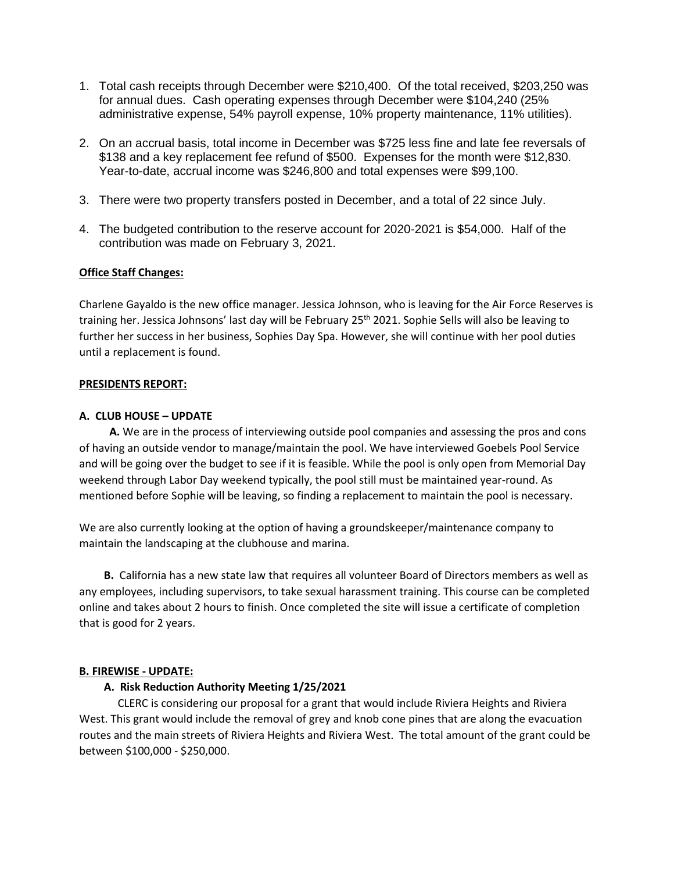- 1. Total cash receipts through December were \$210,400. Of the total received, \$203,250 was for annual dues. Cash operating expenses through December were \$104,240 (25% administrative expense, 54% payroll expense, 10% property maintenance, 11% utilities).
- 2. On an accrual basis, total income in December was \$725 less fine and late fee reversals of \$138 and a key replacement fee refund of \$500. Expenses for the month were \$12,830. Year-to-date, accrual income was \$246,800 and total expenses were \$99,100.
- 3. There were two property transfers posted in December, and a total of 22 since July.
- 4. The budgeted contribution to the reserve account for 2020-2021 is \$54,000. Half of the contribution was made on February 3, 2021.

# **Office Staff Changes:**

Charlene Gayaldo is the new office manager. Jessica Johnson, who is leaving for the Air Force Reserves is training her. Jessica Johnsons' last day will be February 25<sup>th</sup> 2021. Sophie Sells will also be leaving to further her success in her business, Sophies Day Spa. However, she will continue with her pool duties until a replacement is found.

# **PRESIDENTS REPORT:**

# **A. CLUB HOUSE – UPDATE**

 **A.** We are in the process of interviewing outside pool companies and assessing the pros and cons of having an outside vendor to manage/maintain the pool. We have interviewed Goebels Pool Service and will be going over the budget to see if it is feasible. While the pool is only open from Memorial Day weekend through Labor Day weekend typically, the pool still must be maintained year-round. As mentioned before Sophie will be leaving, so finding a replacement to maintain the pool is necessary.

We are also currently looking at the option of having a groundskeeper/maintenance company to maintain the landscaping at the clubhouse and marina.

 **B.** California has a new state law that requires all volunteer Board of Directors members as well as any employees, including supervisors, to take sexual harassment training. This course can be completed online and takes about 2 hours to finish. Once completed the site will issue a certificate of completion that is good for 2 years.

# **B. FIREWISE - UPDATE:**

# **A. Risk Reduction Authority Meeting 1/25/2021**

CLERC is considering our proposal for a grant that would include Riviera Heights and Riviera West. This grant would include the removal of grey and knob cone pines that are along the evacuation routes and the main streets of Riviera Heights and Riviera West. The total amount of the grant could be between \$100,000 - \$250,000.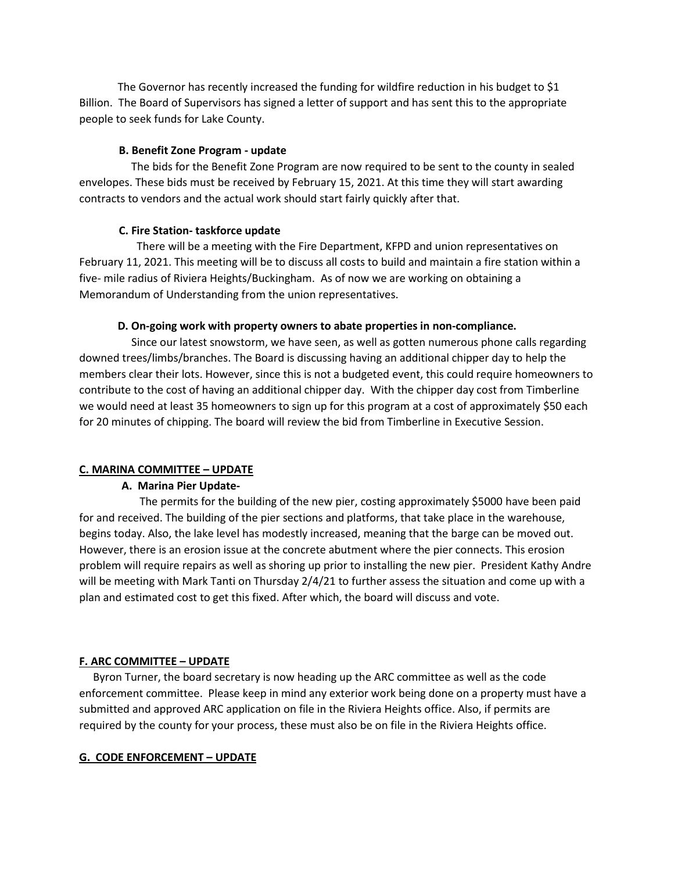The Governor has recently increased the funding for wildfire reduction in his budget to \$1 Billion. The Board of Supervisors has signed a letter of support and has sent this to the appropriate people to seek funds for Lake County.

# **B. Benefit Zone Program - update**

 The bids for the Benefit Zone Program are now required to be sent to the county in sealed envelopes. These bids must be received by February 15, 2021. At this time they will start awarding contracts to vendors and the actual work should start fairly quickly after that.

# **C. Fire Station- taskforce update**

 There will be a meeting with the Fire Department, KFPD and union representatives on February 11, 2021. This meeting will be to discuss all costs to build and maintain a fire station within a five- mile radius of Riviera Heights/Buckingham. As of now we are working on obtaining a Memorandum of Understanding from the union representatives.

# **D. On-going work with property owners to abate properties in non-compliance.**

Since our latest snowstorm, we have seen, as well as gotten numerous phone calls regarding downed trees/limbs/branches. The Board is discussing having an additional chipper day to help the members clear their lots. However, since this is not a budgeted event, this could require homeowners to contribute to the cost of having an additional chipper day. With the chipper day cost from Timberline we would need at least 35 homeowners to sign up for this program at a cost of approximately \$50 each for 20 minutes of chipping. The board will review the bid from Timberline in Executive Session.

# **C. MARINA COMMITTEE – UPDATE**

# **A. Marina Pier Update-**

The permits for the building of the new pier, costing approximately \$5000 have been paid for and received. The building of the pier sections and platforms, that take place in the warehouse, begins today. Also, the lake level has modestly increased, meaning that the barge can be moved out. However, there is an erosion issue at the concrete abutment where the pier connects. This erosion problem will require repairs as well as shoring up prior to installing the new pier. President Kathy Andre will be meeting with Mark Tanti on Thursday 2/4/21 to further assess the situation and come up with a plan and estimated cost to get this fixed. After which, the board will discuss and vote.

# **F. ARC COMMITTEE – UPDATE**

 Byron Turner, the board secretary is now heading up the ARC committee as well as the code enforcement committee. Please keep in mind any exterior work being done on a property must have a submitted and approved ARC application on file in the Riviera Heights office. Also, if permits are required by the county for your process, these must also be on file in the Riviera Heights office.

# **G. CODE ENFORCEMENT – UPDATE**